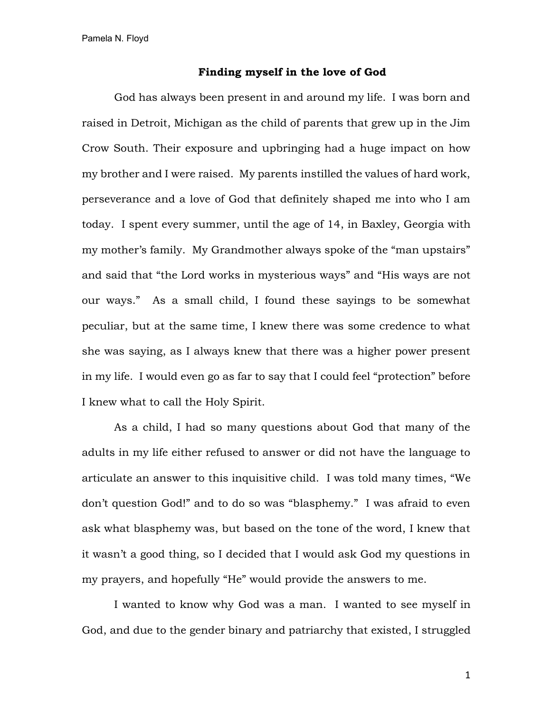## **Finding myself in the love of God**

God has always been present in and around my life. I was born and raised in Detroit, Michigan as the child of parents that grew up in the Jim Crow South. Their exposure and upbringing had a huge impact on how my brother and I were raised. My parents instilled the values of hard work, perseverance and a love of God that definitely shaped me into who I am today. I spent every summer, until the age of 14, in Baxley, Georgia with my mother's family. My Grandmother always spoke of the "man upstairs" and said that "the Lord works in mysterious ways" and "His ways are not our ways." As a small child, I found these sayings to be somewhat peculiar, but at the same time, I knew there was some credence to what she was saying, as I always knew that there was a higher power present in my life. I would even go as far to say that I could feel "protection" before I knew what to call the Holy Spirit.

As a child, I had so many questions about God that many of the adults in my life either refused to answer or did not have the language to articulate an answer to this inquisitive child. I was told many times, "We don't question God!" and to do so was "blasphemy." I was afraid to even ask what blasphemy was, but based on the tone of the word, I knew that it wasn't a good thing, so I decided that I would ask God my questions in my prayers, and hopefully "He" would provide the answers to me.

I wanted to know why God was a man. I wanted to see myself in God, and due to the gender binary and patriarchy that existed, I struggled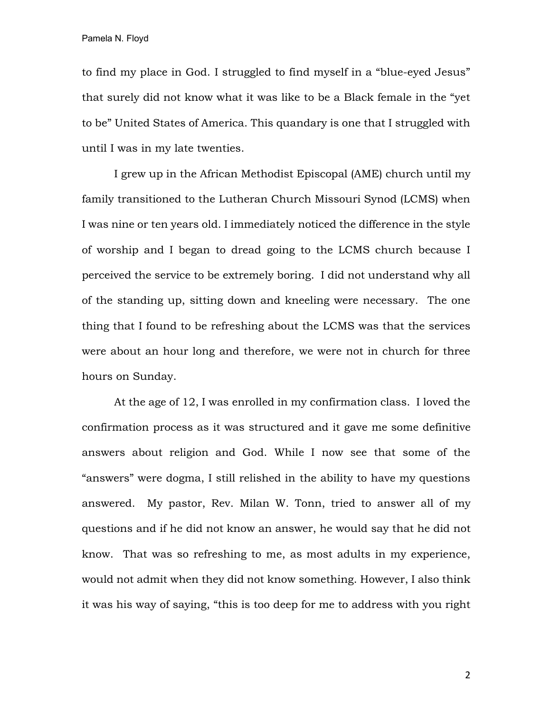to find my place in God. I struggled to find myself in a "blue-eyed Jesus" that surely did not know what it was like to be a Black female in the "yet to be" United States of America. This quandary is one that I struggled with until I was in my late twenties.

I grew up in the African Methodist Episcopal (AME) church until my family transitioned to the Lutheran Church Missouri Synod (LCMS) when I was nine or ten years old. I immediately noticed the difference in the style of worship and I began to dread going to the LCMS church because I perceived the service to be extremely boring. I did not understand why all of the standing up, sitting down and kneeling were necessary. The one thing that I found to be refreshing about the LCMS was that the services were about an hour long and therefore, we were not in church for three hours on Sunday.

At the age of 12, I was enrolled in my confirmation class. I loved the confirmation process as it was structured and it gave me some definitive answers about religion and God. While I now see that some of the "answers" were dogma, I still relished in the ability to have my questions answered. My pastor, Rev. Milan W. Tonn, tried to answer all of my questions and if he did not know an answer, he would say that he did not know. That was so refreshing to me, as most adults in my experience, would not admit when they did not know something. However, I also think it was his way of saying, "this is too deep for me to address with you right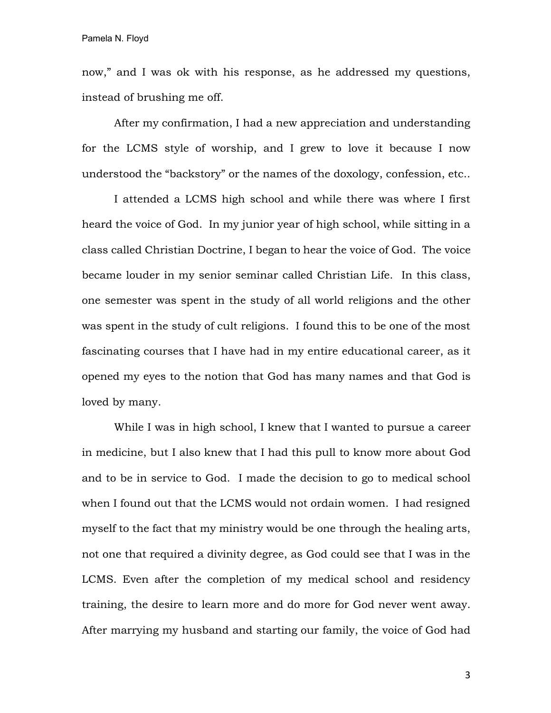now," and I was ok with his response, as he addressed my questions, instead of brushing me off.

After my confirmation, I had a new appreciation and understanding for the LCMS style of worship, and I grew to love it because I now understood the "backstory" or the names of the doxology, confession, etc..

I attended a LCMS high school and while there was where I first heard the voice of God. In my junior year of high school, while sitting in a class called Christian Doctrine, I began to hear the voice of God. The voice became louder in my senior seminar called Christian Life. In this class, one semester was spent in the study of all world religions and the other was spent in the study of cult religions. I found this to be one of the most fascinating courses that I have had in my entire educational career, as it opened my eyes to the notion that God has many names and that God is loved by many.

While I was in high school, I knew that I wanted to pursue a career in medicine, but I also knew that I had this pull to know more about God and to be in service to God. I made the decision to go to medical school when I found out that the LCMS would not ordain women. I had resigned myself to the fact that my ministry would be one through the healing arts, not one that required a divinity degree, as God could see that I was in the LCMS. Even after the completion of my medical school and residency training, the desire to learn more and do more for God never went away. After marrying my husband and starting our family, the voice of God had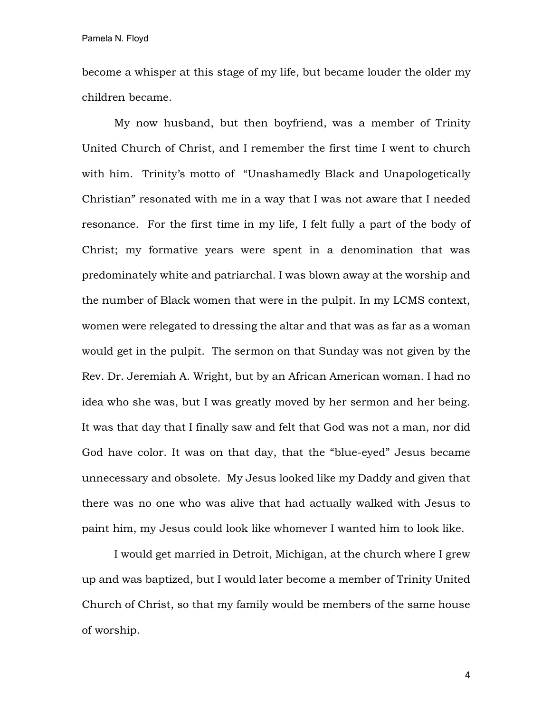become a whisper at this stage of my life, but became louder the older my children became.

My now husband, but then boyfriend, was a member of Trinity United Church of Christ, and I remember the first time I went to church with him. Trinity's motto of "Unashamedly Black and Unapologetically Christian" resonated with me in a way that I was not aware that I needed resonance. For the first time in my life, I felt fully a part of the body of Christ; my formative years were spent in a denomination that was predominately white and patriarchal. I was blown away at the worship and the number of Black women that were in the pulpit. In my LCMS context, women were relegated to dressing the altar and that was as far as a woman would get in the pulpit. The sermon on that Sunday was not given by the Rev. Dr. Jeremiah A. Wright, but by an African American woman. I had no idea who she was, but I was greatly moved by her sermon and her being. It was that day that I finally saw and felt that God was not a man, nor did God have color. It was on that day, that the "blue-eyed" Jesus became unnecessary and obsolete. My Jesus looked like my Daddy and given that there was no one who was alive that had actually walked with Jesus to paint him, my Jesus could look like whomever I wanted him to look like.

I would get married in Detroit, Michigan, at the church where I grew up and was baptized, but I would later become a member of Trinity United Church of Christ, so that my family would be members of the same house of worship.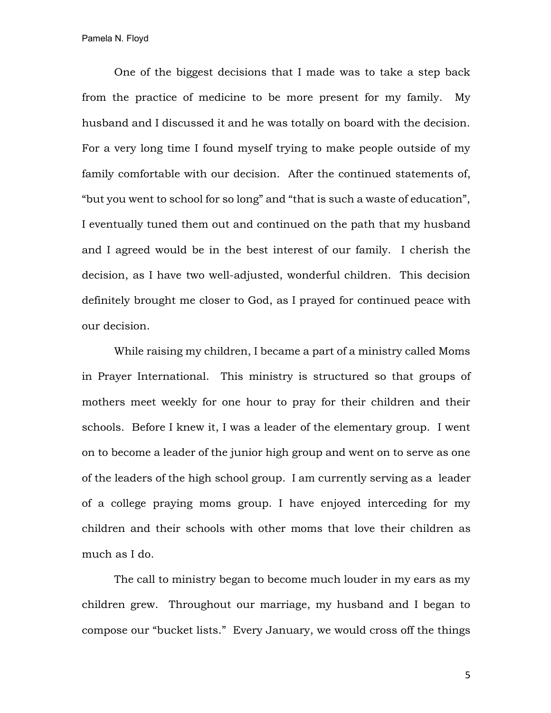One of the biggest decisions that I made was to take a step back from the practice of medicine to be more present for my family. My husband and I discussed it and he was totally on board with the decision. For a very long time I found myself trying to make people outside of my family comfortable with our decision. After the continued statements of, "but you went to school for so long" and "that is such a waste of education", I eventually tuned them out and continued on the path that my husband and I agreed would be in the best interest of our family. I cherish the decision, as I have two well-adjusted, wonderful children. This decision definitely brought me closer to God, as I prayed for continued peace with our decision.

While raising my children, I became a part of a ministry called Moms in Prayer International. This ministry is structured so that groups of mothers meet weekly for one hour to pray for their children and their schools. Before I knew it, I was a leader of the elementary group. I went on to become a leader of the junior high group and went on to serve as one of the leaders of the high school group. I am currently serving as a leader of a college praying moms group. I have enjoyed interceding for my children and their schools with other moms that love their children as much as I do.

The call to ministry began to become much louder in my ears as my children grew. Throughout our marriage, my husband and I began to compose our "bucket lists." Every January, we would cross off the things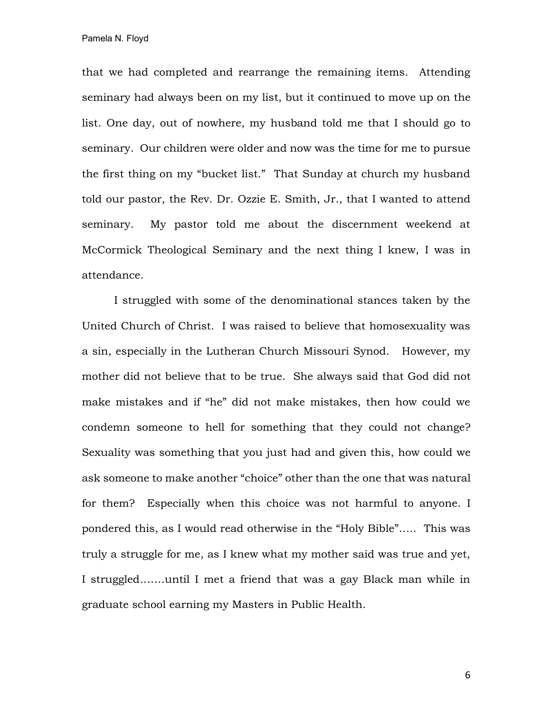that we had completed and rearrange the remaining items. Attending seminary had always been on my list, but it continued to move up on the list. One day, out of nowhere, my husband told me that I should go to seminary. Our children were older and now was the time for me to pursue the first thing on my "bucket list." That Sunday at church my husband told our pastor, the Rev. Dr. Ozzie E. Smith, Jr., that I wanted to attend seminary. My pastor told me about the discernment weekend at McCormick Theological Seminary and the next thing I knew, I was in attendance.

I struggled with some of the denominational stances taken by the United Church of Christ. I was raised to believe that homosexuality was a sin, especially in the Lutheran Church Missouri Synod. However, my mother did not believe that to be true. She always said that God did not make mistakes and if "he" did not make mistakes, then how could we condemn someone to hell for something that they could not change? Sexuality was something that you just had and given this, how could we ask someone to make another "choice" other than the one that was natural for them? Especially when this choice was not harmful to anyone. I pondered this, as I would read otherwise in the "Holy Bible"….. This was truly a struggle for me, as I knew what my mother said was true and yet, I struggled…….until I met a friend that was a gay Black man while in graduate school earning my Masters in Public Health.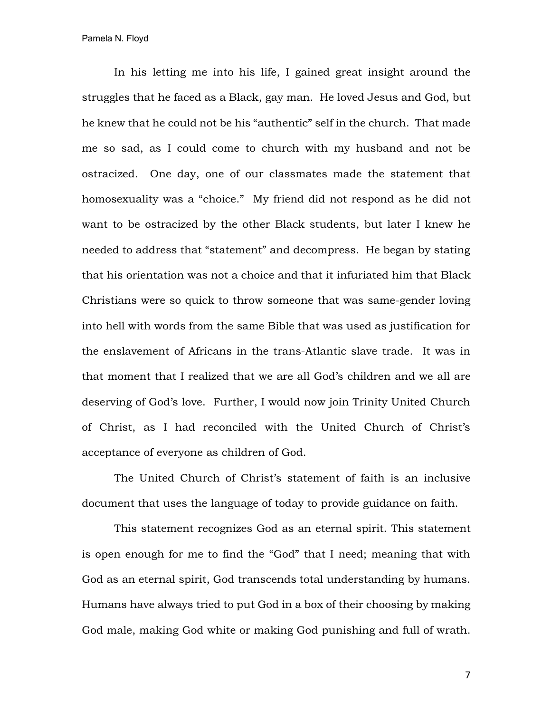In his letting me into his life, I gained great insight around the struggles that he faced as a Black, gay man. He loved Jesus and God, but he knew that he could not be his "authentic" self in the church. That made me so sad, as I could come to church with my husband and not be ostracized. One day, one of our classmates made the statement that homosexuality was a "choice." My friend did not respond as he did not want to be ostracized by the other Black students, but later I knew he needed to address that "statement" and decompress. He began by stating that his orientation was not a choice and that it infuriated him that Black Christians were so quick to throw someone that was same-gender loving into hell with words from the same Bible that was used as justification for the enslavement of Africans in the trans-Atlantic slave trade. It was in that moment that I realized that we are all God's children and we all are deserving of God's love. Further, I would now join Trinity United Church of Christ, as I had reconciled with the United Church of Christ's acceptance of everyone as children of God.

The United Church of Christ's statement of faith is an inclusive document that uses the language of today to provide guidance on faith.

This statement recognizes God as an eternal spirit. This statement is open enough for me to find the "God" that I need; meaning that with God as an eternal spirit, God transcends total understanding by humans. Humans have always tried to put God in a box of their choosing by making God male, making God white or making God punishing and full of wrath.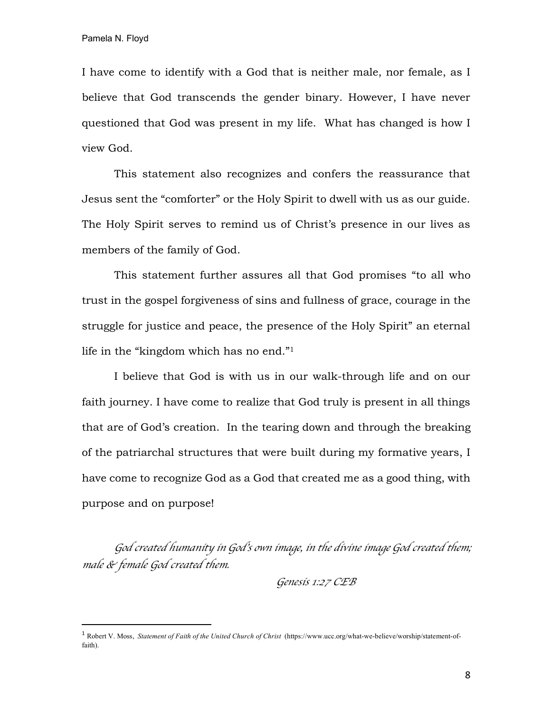I have come to identify with a God that is neither male, nor female, as I believe that God transcends the gender binary. However, I have never questioned that God was present in my life. What has changed is how I view God.

This statement also recognizes and confers the reassurance that Jesus sent the "comforter" or the Holy Spirit to dwell with us as our guide. The Holy Spirit serves to remind us of Christ's presence in our lives as members of the family of God.

This statement further assures all that God promises "to all who trust in the gospel forgiveness of sins and fullness of grace, courage in the struggle for justice and peace, the presence of the Holy Spirit" an eternal life in the "kingdom which has no end."1

I believe that God is with us in our walk-through life and on our faith journey. I have come to realize that God truly is present in all things that are of God's creation. In the tearing down and through the breaking of the patriarchal structures that were built during my formative years, I have come to recognize God as a God that created me as a good thing, with purpose and on purpose!

*God created humanity in God*'*s own image, in the divine image God created them; male & female God created them.*

*Genesis 1:27 CEB*

 <sup>1</sup> Robert V. Moss, *Statement of Faith of the United Church of Christ* (https://www.ucc.org/what-we-believe/worship/statement-offaith).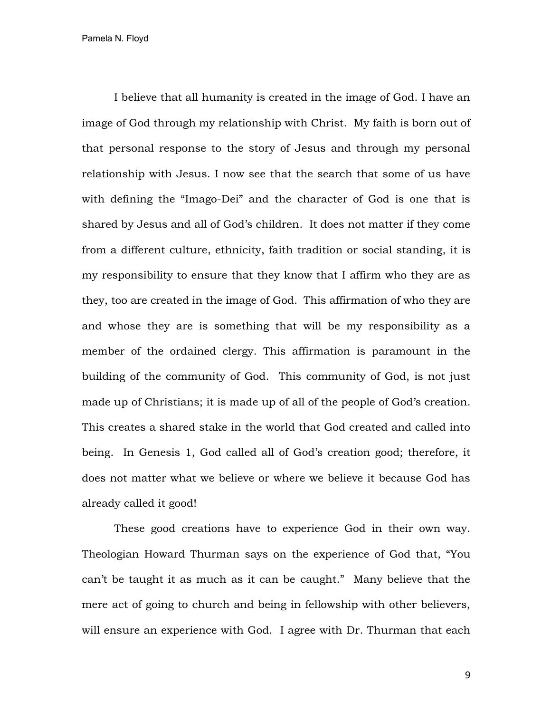I believe that all humanity is created in the image of God. I have an image of God through my relationship with Christ. My faith is born out of that personal response to the story of Jesus and through my personal relationship with Jesus. I now see that the search that some of us have with defining the "Imago-Dei" and the character of God is one that is shared by Jesus and all of God's children. It does not matter if they come from a different culture, ethnicity, faith tradition or social standing, it is my responsibility to ensure that they know that I affirm who they are as they, too are created in the image of God. This affirmation of who they are and whose they are is something that will be my responsibility as a member of the ordained clergy. This affirmation is paramount in the building of the community of God. This community of God, is not just made up of Christians; it is made up of all of the people of God's creation. This creates a shared stake in the world that God created and called into being. In Genesis 1, God called all of God's creation good; therefore, it does not matter what we believe or where we believe it because God has already called it good!

These good creations have to experience God in their own way. Theologian Howard Thurman says on the experience of God that, "You can't be taught it as much as it can be caught." Many believe that the mere act of going to church and being in fellowship with other believers, will ensure an experience with God. I agree with Dr. Thurman that each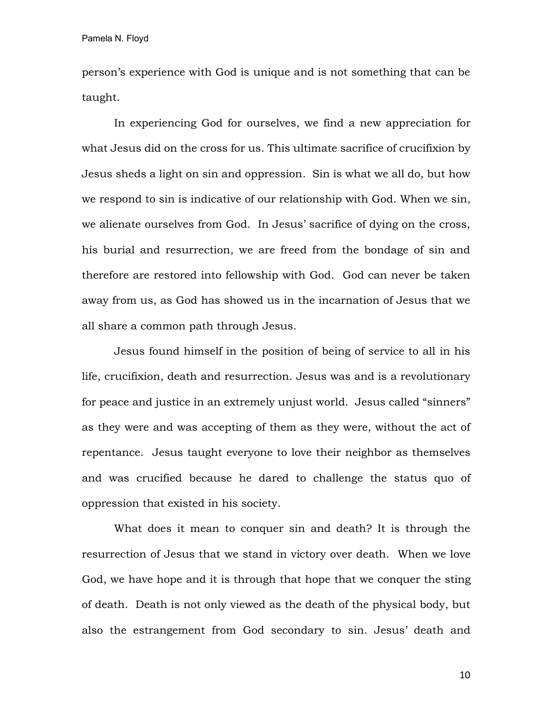person's experience with God is unique and is not something that can be taught.

In experiencing God for ourselves, we find a new appreciation for what Jesus did on the cross for us. This ultimate sacrifice of crucifixion by Jesus sheds a light on sin and oppression. Sin is what we all do, but how we respond to sin is indicative of our relationship with God. When we sin, we alienate ourselves from God. In Jesus' sacrifice of dying on the cross, his burial and resurrection, we are freed from the bondage of sin and therefore are restored into fellowship with God. God can never be taken away from us, as God has showed us in the incarnation of Jesus that we all share a common path through Jesus.

Jesus found himself in the position of being of service to all in his life, crucifixion, death and resurrection. Jesus was and is a revolutionary for peace and justice in an extremely unjust world. Jesus called "sinners" as they were and was accepting of them as they were, without the act of repentance. Jesus taught everyone to love their neighbor as themselves and was crucified because he dared to challenge the status quo of oppression that existed in his society.

What does it mean to conquer sin and death? It is through the resurrection of Jesus that we stand in victory over death. When we love God, we have hope and it is through that hope that we conquer the sting of death. Death is not only viewed as the death of the physical body, but also the estrangement from God secondary to sin. Jesus' death and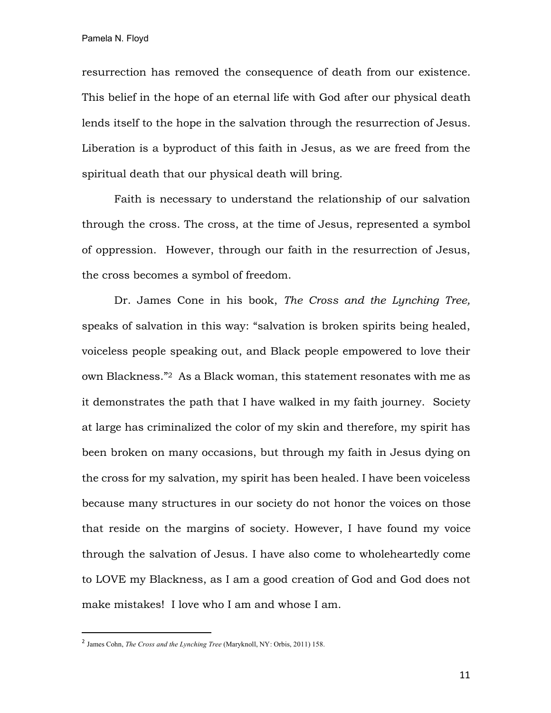resurrection has removed the consequence of death from our existence. This belief in the hope of an eternal life with God after our physical death lends itself to the hope in the salvation through the resurrection of Jesus. Liberation is a byproduct of this faith in Jesus, as we are freed from the spiritual death that our physical death will bring.

Faith is necessary to understand the relationship of our salvation through the cross. The cross, at the time of Jesus, represented a symbol of oppression. However, through our faith in the resurrection of Jesus, the cross becomes a symbol of freedom.

Dr. James Cone in his book, *The Cross and the Lynching Tree,*  speaks of salvation in this way: "salvation is broken spirits being healed, voiceless people speaking out, and Black people empowered to love their own Blackness."2 As a Black woman, this statement resonates with me as it demonstrates the path that I have walked in my faith journey. Society at large has criminalized the color of my skin and therefore, my spirit has been broken on many occasions, but through my faith in Jesus dying on the cross for my salvation, my spirit has been healed. I have been voiceless because many structures in our society do not honor the voices on those that reside on the margins of society. However, I have found my voice through the salvation of Jesus. I have also come to wholeheartedly come to LOVE my Blackness, as I am a good creation of God and God does not make mistakes! I love who I am and whose I am.

 <sup>2</sup> James Cohn, *The Cross and the Lynching Tree* (Maryknoll, NY: Orbis, 2011) 158.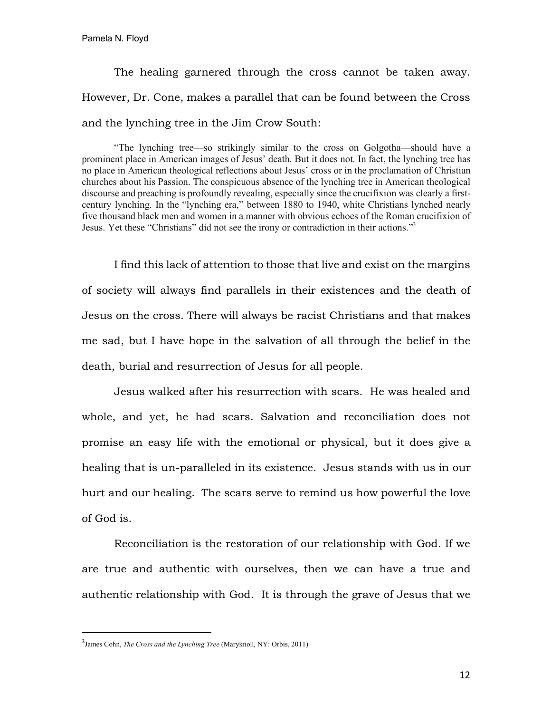The healing garnered through the cross cannot be taken away. However, Dr. Cone, makes a parallel that can be found between the Cross and the lynching tree in the Jim Crow South:

"The lynching tree—so strikingly similar to the cross on Golgotha—should have a prominent place in American images of Jesus' death. But it does not. In fact, the lynching tree has no place in American theological reflections about Jesus' cross or in the proclamation of Christian churches about his Passion. The conspicuous absence of the lynching tree in American theological discourse and preaching is profoundly revealing, especially since the crucifixion was clearly a firstcentury lynching. In the "lynching era," between 1880 to 1940, white Christians lynched nearly five thousand black men and women in a manner with obvious echoes of the Roman crucifixion of Jesus. Yet these "Christians" did not see the irony or contradiction in their actions."3

I find this lack of attention to those that live and exist on the margins of society will always find parallels in their existences and the death of Jesus on the cross. There will always be racist Christians and that makes me sad, but I have hope in the salvation of all through the belief in the death, burial and resurrection of Jesus for all people.

Jesus walked after his resurrection with scars. He was healed and whole, and yet, he had scars. Salvation and reconciliation does not promise an easy life with the emotional or physical, but it does give a healing that is un-paralleled in its existence. Jesus stands with us in our hurt and our healing. The scars serve to remind us how powerful the love of God is.

Reconciliation is the restoration of our relationship with God. If we are true and authentic with ourselves, then we can have a true and authentic relationship with God. It is through the grave of Jesus that we

<sup>—&</sup>lt;br>3 James Cohn, *The Cross and the Lynching Tree* (Maryknoll, NY: Orbis, 2011)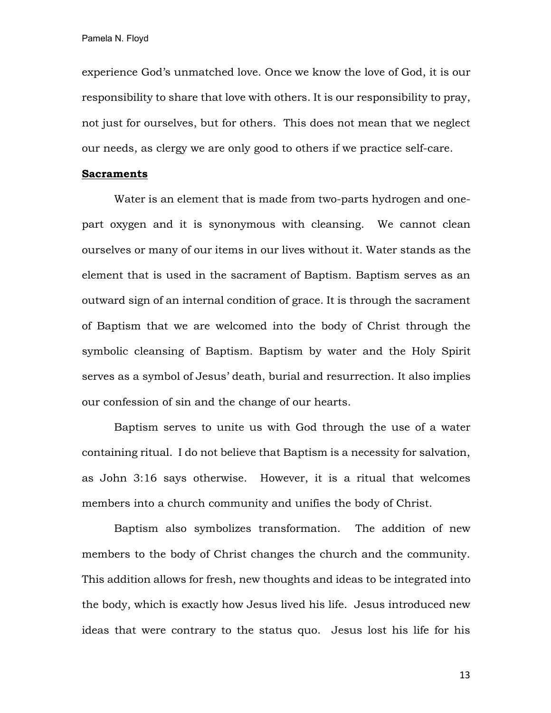experience God's unmatched love. Once we know the love of God, it is our responsibility to share that love with others. It is our responsibility to pray, not just for ourselves, but for others. This does not mean that we neglect our needs, as clergy we are only good to others if we practice self-care.

## **Sacraments**

Water is an element that is made from two-parts hydrogen and onepart oxygen and it is synonymous with cleansing. We cannot clean ourselves or many of our items in our lives without it. Water stands as the element that is used in the sacrament of Baptism. Baptism serves as an outward sign of an internal condition of grace. It is through the sacrament of Baptism that we are welcomed into the body of Christ through the symbolic cleansing of Baptism. Baptism by water and the Holy Spirit serves as a symbol of Jesus' death, burial and resurrection. It also implies our confession of sin and the change of our hearts.

Baptism serves to unite us with God through the use of a water containing ritual. I do not believe that Baptism is a necessity for salvation, as John 3:16 says otherwise. However, it is a ritual that welcomes members into a church community and unifies the body of Christ.

Baptism also symbolizes transformation. The addition of new members to the body of Christ changes the church and the community. This addition allows for fresh, new thoughts and ideas to be integrated into the body, which is exactly how Jesus lived his life. Jesus introduced new ideas that were contrary to the status quo. Jesus lost his life for his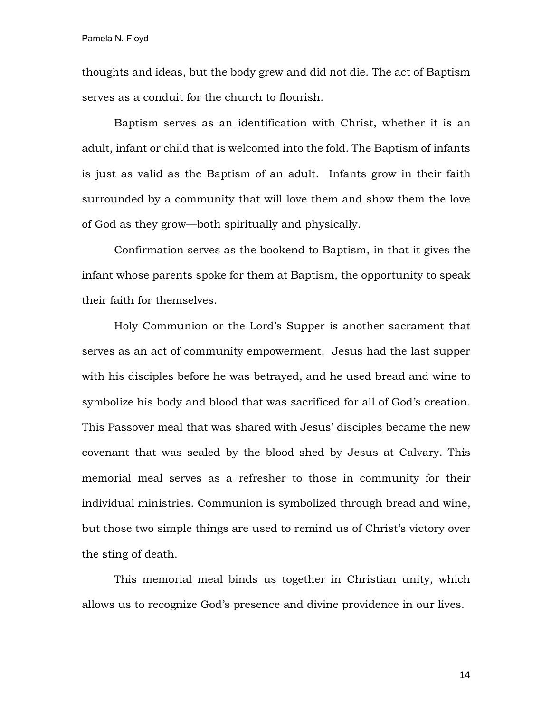thoughts and ideas, but the body grew and did not die. The act of Baptism serves as a conduit for the church to flourish.

Baptism serves as an identification with Christ, whether it is an adult, infant or child that is welcomed into the fold. The Baptism of infants is just as valid as the Baptism of an adult. Infants grow in their faith surrounded by a community that will love them and show them the love of God as they grow—both spiritually and physically.

Confirmation serves as the bookend to Baptism, in that it gives the infant whose parents spoke for them at Baptism, the opportunity to speak their faith for themselves.

Holy Communion or the Lord's Supper is another sacrament that serves as an act of community empowerment. Jesus had the last supper with his disciples before he was betrayed, and he used bread and wine to symbolize his body and blood that was sacrificed for all of God's creation. This Passover meal that was shared with Jesus' disciples became the new covenant that was sealed by the blood shed by Jesus at Calvary. This memorial meal serves as a refresher to those in community for their individual ministries. Communion is symbolized through bread and wine, but those two simple things are used to remind us of Christ's victory over the sting of death.

This memorial meal binds us together in Christian unity, which allows us to recognize God's presence and divine providence in our lives.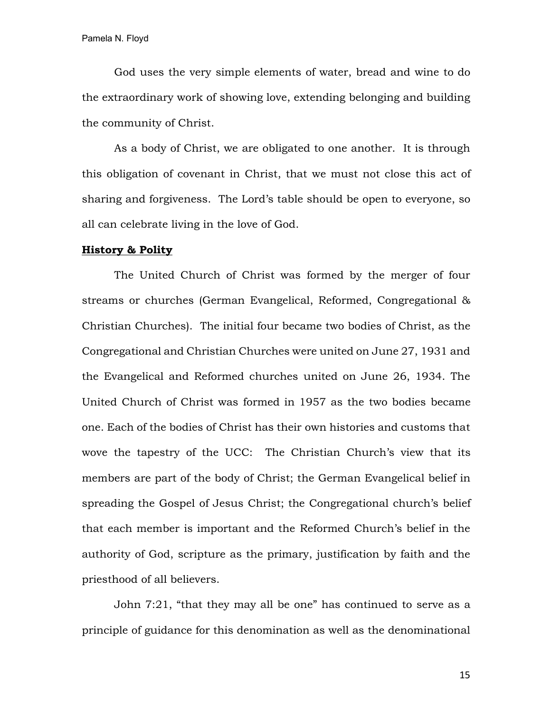God uses the very simple elements of water, bread and wine to do the extraordinary work of showing love, extending belonging and building the community of Christ.

As a body of Christ, we are obligated to one another. It is through this obligation of covenant in Christ, that we must not close this act of sharing and forgiveness. The Lord's table should be open to everyone, so all can celebrate living in the love of God.

## **History & Polity**

The United Church of Christ was formed by the merger of four streams or churches (German Evangelical, Reformed, Congregational & Christian Churches). The initial four became two bodies of Christ, as the Congregational and Christian Churches were united on June 27, 1931 and the Evangelical and Reformed churches united on June 26, 1934. The United Church of Christ was formed in 1957 as the two bodies became one. Each of the bodies of Christ has their own histories and customs that wove the tapestry of the UCC: The Christian Church's view that its members are part of the body of Christ; the German Evangelical belief in spreading the Gospel of Jesus Christ; the Congregational church's belief that each member is important and the Reformed Church's belief in the authority of God, scripture as the primary, justification by faith and the priesthood of all believers.

John 7:21, "that they may all be one" has continued to serve as a principle of guidance for this denomination as well as the denominational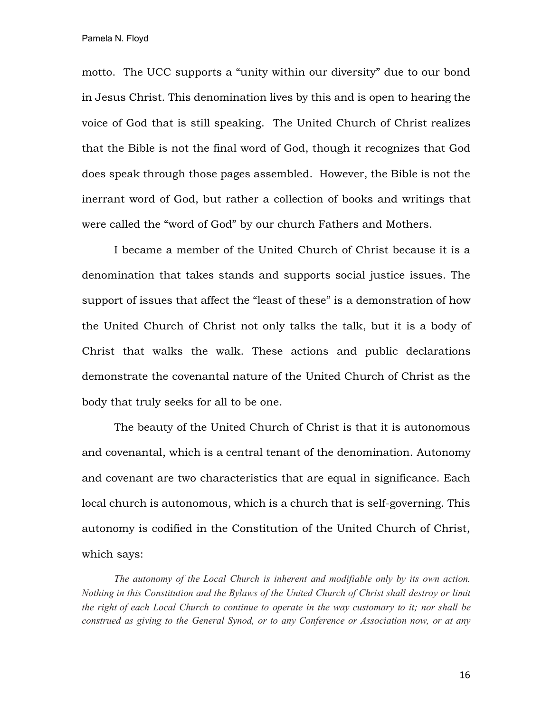motto. The UCC supports a "unity within our diversity" due to our bond in Jesus Christ. This denomination lives by this and is open to hearing the voice of God that is still speaking. The United Church of Christ realizes that the Bible is not the final word of God, though it recognizes that God does speak through those pages assembled. However, the Bible is not the inerrant word of God, but rather a collection of books and writings that were called the "word of God" by our church Fathers and Mothers.

I became a member of the United Church of Christ because it is a denomination that takes stands and supports social justice issues. The support of issues that affect the "least of these" is a demonstration of how the United Church of Christ not only talks the talk, but it is a body of Christ that walks the walk. These actions and public declarations demonstrate the covenantal nature of the United Church of Christ as the body that truly seeks for all to be one.

The beauty of the United Church of Christ is that it is autonomous and covenantal, which is a central tenant of the denomination. Autonomy and covenant are two characteristics that are equal in significance. Each local church is autonomous, which is a church that is self-governing. This autonomy is codified in the Constitution of the United Church of Christ, which says:

*The autonomy of the Local Church is inherent and modifiable only by its own action. Nothing in this Constitution and the Bylaws of the United Church of Christ shall destroy or limit the right of each Local Church to continue to operate in the way customary to it; nor shall be construed as giving to the General Synod, or to any Conference or Association now, or at any*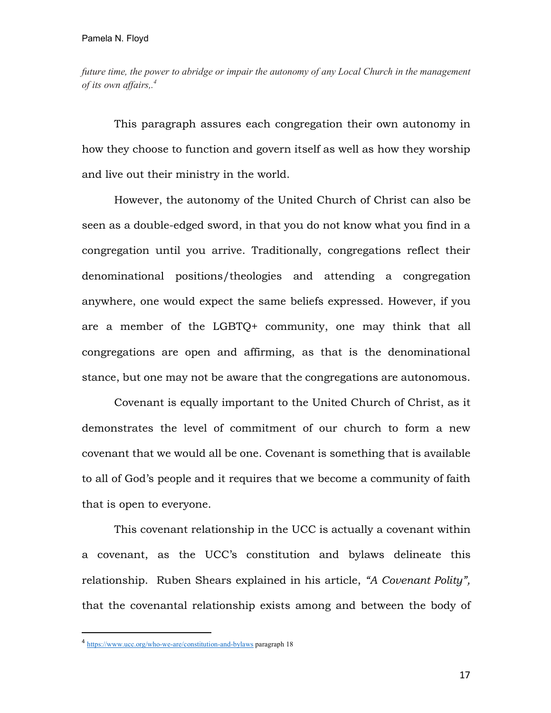*future time, the power to abridge or impair the autonomy of any Local Church in the management of its own affairs,. 4*

This paragraph assures each congregation their own autonomy in how they choose to function and govern itself as well as how they worship and live out their ministry in the world.

However, the autonomy of the United Church of Christ can also be seen as a double-edged sword, in that you do not know what you find in a congregation until you arrive. Traditionally, congregations reflect their denominational positions/theologies and attending a congregation anywhere, one would expect the same beliefs expressed. However, if you are a member of the LGBTQ+ community, one may think that all congregations are open and affirming, as that is the denominational stance, but one may not be aware that the congregations are autonomous.

Covenant is equally important to the United Church of Christ, as it demonstrates the level of commitment of our church to form a new covenant that we would all be one. Covenant is something that is available to all of God's people and it requires that we become a community of faith that is open to everyone.

This covenant relationship in the UCC is actually a covenant within a covenant, as the UCC's constitution and bylaws delineate this relationship. Ruben Shears explained in his article, *"A Covenant Polity",*  that the covenantal relationship exists among and between the body of

 <sup>4</sup> https://www.ucc.org/who-we-are/constitution-and-bylaws paragraph 18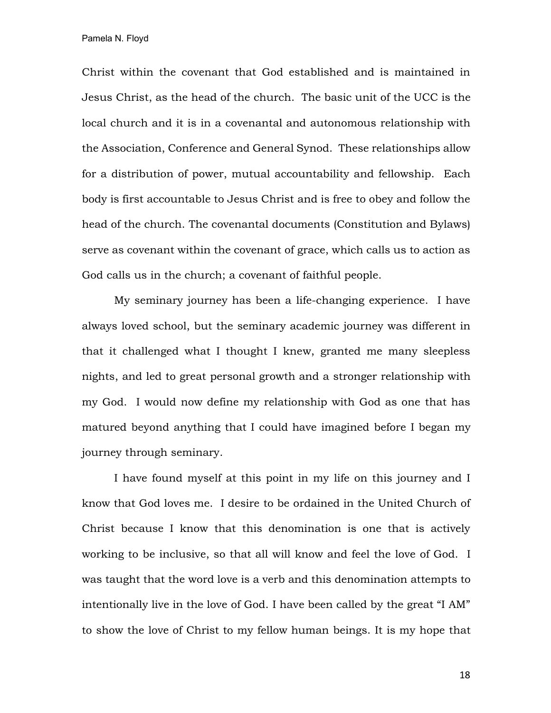Christ within the covenant that God established and is maintained in Jesus Christ, as the head of the church. The basic unit of the UCC is the local church and it is in a covenantal and autonomous relationship with the Association, Conference and General Synod. These relationships allow for a distribution of power, mutual accountability and fellowship. Each body is first accountable to Jesus Christ and is free to obey and follow the head of the church. The covenantal documents (Constitution and Bylaws) serve as covenant within the covenant of grace, which calls us to action as God calls us in the church; a covenant of faithful people.

My seminary journey has been a life-changing experience. I have always loved school, but the seminary academic journey was different in that it challenged what I thought I knew, granted me many sleepless nights, and led to great personal growth and a stronger relationship with my God. I would now define my relationship with God as one that has matured beyond anything that I could have imagined before I began my journey through seminary.

I have found myself at this point in my life on this journey and I know that God loves me. I desire to be ordained in the United Church of Christ because I know that this denomination is one that is actively working to be inclusive, so that all will know and feel the love of God. I was taught that the word love is a verb and this denomination attempts to intentionally live in the love of God. I have been called by the great "I AM" to show the love of Christ to my fellow human beings. It is my hope that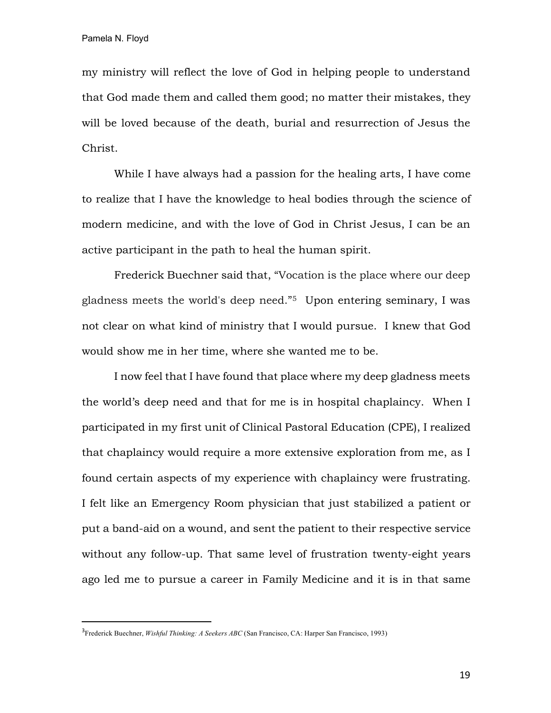my ministry will reflect the love of God in helping people to understand that God made them and called them good; no matter their mistakes, they will be loved because of the death, burial and resurrection of Jesus the Christ.

While I have always had a passion for the healing arts, I have come to realize that I have the knowledge to heal bodies through the science of modern medicine, and with the love of God in Christ Jesus, I can be an active participant in the path to heal the human spirit.

Frederick Buechner said that, "Vocation is the place where our deep gladness meets the world's deep need."5 Upon entering seminary, I was not clear on what kind of ministry that I would pursue. I knew that God would show me in her time, where she wanted me to be.

I now feel that I have found that place where my deep gladness meets the world's deep need and that for me is in hospital chaplaincy. When I participated in my first unit of Clinical Pastoral Education (CPE), I realized that chaplaincy would require a more extensive exploration from me, as I found certain aspects of my experience with chaplaincy were frustrating. I felt like an Emergency Room physician that just stabilized a patient or put a band-aid on a wound, and sent the patient to their respective service without any follow-up. That same level of frustration twenty-eight years ago led me to pursue a career in Family Medicine and it is in that same

<sup>-&</sup>lt;br>3 Frederick Buechner, *Wishful Thinking: A Seekers ABC* (San Francisco, CA: Harper San Francisco, 1993)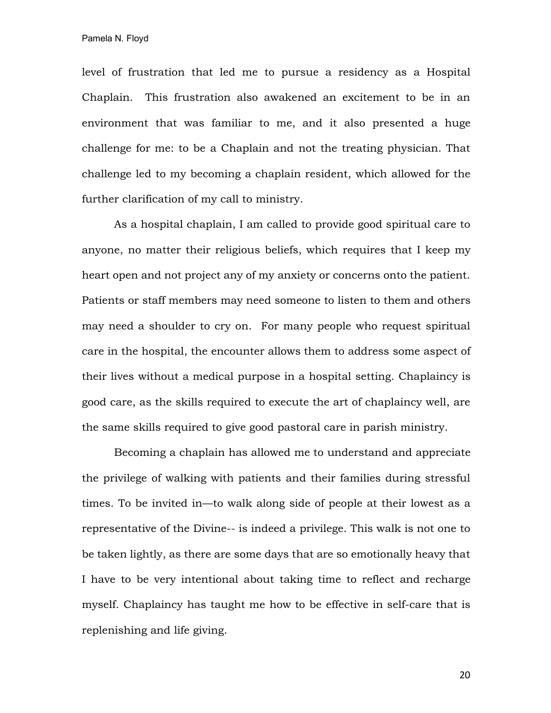level of frustration that led me to pursue a residency as a Hospital Chaplain. This frustration also awakened an excitement to be in an environment that was familiar to me, and it also presented a huge challenge for me: to be a Chaplain and not the treating physician. That challenge led to my becoming a chaplain resident, which allowed for the further clarification of my call to ministry.

As a hospital chaplain, I am called to provide good spiritual care to anyone, no matter their religious beliefs, which requires that I keep my heart open and not project any of my anxiety or concerns onto the patient. Patients or staff members may need someone to listen to them and others may need a shoulder to cry on. For many people who request spiritual care in the hospital, the encounter allows them to address some aspect of their lives without a medical purpose in a hospital setting. Chaplaincy is good care, as the skills required to execute the art of chaplaincy well, are the same skills required to give good pastoral care in parish ministry.

Becoming a chaplain has allowed me to understand and appreciate the privilege of walking with patients and their families during stressful times. To be invited in—to walk along side of people at their lowest as a representative of the Divine-- is indeed a privilege. This walk is not one to be taken lightly, as there are some days that are so emotionally heavy that I have to be very intentional about taking time to reflect and recharge myself. Chaplaincy has taught me how to be effective in self-care that is replenishing and life giving.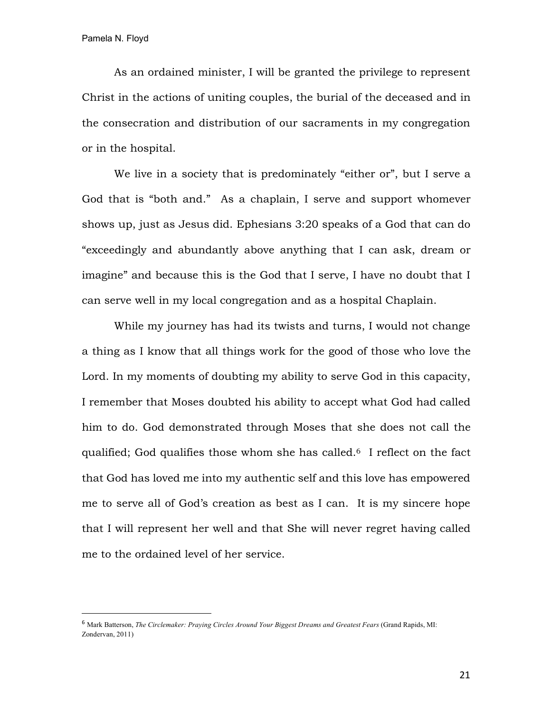As an ordained minister, I will be granted the privilege to represent Christ in the actions of uniting couples, the burial of the deceased and in the consecration and distribution of our sacraments in my congregation or in the hospital.

We live in a society that is predominately "either or", but I serve a God that is "both and." As a chaplain, I serve and support whomever shows up, just as Jesus did. Ephesians 3:20 speaks of a God that can do "exceedingly and abundantly above anything that I can ask, dream or imagine" and because this is the God that I serve, I have no doubt that I can serve well in my local congregation and as a hospital Chaplain.

While my journey has had its twists and turns, I would not change a thing as I know that all things work for the good of those who love the Lord. In my moments of doubting my ability to serve God in this capacity, I remember that Moses doubted his ability to accept what God had called him to do. God demonstrated through Moses that she does not call the qualified; God qualifies those whom she has called.6 I reflect on the fact that God has loved me into my authentic self and this love has empowered me to serve all of God's creation as best as I can. It is my sincere hope that I will represent her well and that She will never regret having called me to the ordained level of her service.

 <sup>6</sup> Mark Batterson, *The Circlemaker: Praying Circles Around Your Biggest Dreams and Greatest Fears* (Grand Rapids, MI: Zondervan, 2011)